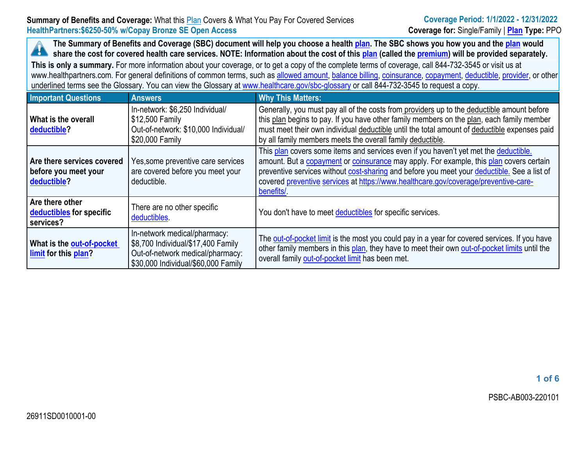The Summary of Benefits and Coverage (SBC) document will help you choose a health [plan](https://www.healthcare.gov/sbc-glossary/#plan). The SBC shows you how you and the plan would A share the cost for covered health care services. NOTE: Information about the cost of this [plan](https://www.healthcare.gov/sbc-glossary/#plan) (called the [premium\)](https://www.healthcare.gov/sbc-glossary/#premium) will be provided separately.

**This is only <sup>a</sup> summary.** For more information about your coverage, or to get <sup>a</sup> copy of the complete terms of coverage, call 844-732-3545 or visit us at www.healthpartners.com. For general definitions of common terms, such as allowed [amount](https://www.healthcare.gov/sbc-glossary/#allowed-amount), [balance](https://www.healthcare.gov/sbc-glossary/#balance-billing) billing, [coinsurance](https://www.healthcare.gov/sbc-glossary/#coinsurance), [copayment](https://www.healthcare.gov/sbc-glossary/#copayment), [deductible](https://www.healthcare.gov/sbc-glossary/#deductible), [provider](https://www.healthcare.gov/sbc-glossary/#provider), or other underlined terms see the Glossary. You can view the Glossary at [www.healthcare.gov/sbc-glossary](https://www.healthcare.gov/sbc-glossary) or call 844-732-3545 to request <sup>a</sup> copy.

| <b>Important Questions</b>                                        | <b>Answers</b>                                                                                                                                | <b>Why This Matters:</b>                                                                                                                                                                                                                                                                                                                                                           |
|-------------------------------------------------------------------|-----------------------------------------------------------------------------------------------------------------------------------------------|------------------------------------------------------------------------------------------------------------------------------------------------------------------------------------------------------------------------------------------------------------------------------------------------------------------------------------------------------------------------------------|
| What is the overall<br>deductible?                                | In-network: \$6,250 Individual/<br>\$12,500 Family<br>Out-of-network: \$10,000 Individual/<br>\$20,000 Family                                 | Generally, you must pay all of the costs from providers up to the deductible amount before<br>this plan begins to pay. If you have other family members on the plan, each family member<br>must meet their own individual deductible until the total amount of deductible expenses paid<br>by all family members meets the overall family deductible.                              |
| Are there services covered<br>before you meet your<br>deductible? | Yes, some preventive care services<br>are covered before you meet your<br>deductible.                                                         | This plan covers some items and services even if you haven't yet met the deductible.<br>amount. But a copayment or coinsurance may apply. For example, this plan covers certain<br>preventive services without cost-sharing and before you meet your deductible. See a list of<br>covered preventive services at https://www.healthcare.gov/coverage/preventive-care-<br>benefits/ |
| Are there other<br>deductibles for specific<br>services?          | There are no other specific<br>deductibles.                                                                                                   | You don't have to meet deductibles for specific services.                                                                                                                                                                                                                                                                                                                          |
| What is the out-of-pocket<br>limit for this plan?                 | In-network medical/pharmacy:<br>\$8,700 Individual/\$17,400 Family<br>Out-of-network medical/pharmacy:<br>\$30,000 Individual/\$60,000 Family | The out-of-pocket limit is the most you could pay in a year for covered services. If you have<br>other family members in this plan, they have to meet their own out-of-pocket limits until the<br>overall family out-of-pocket limit has been met.                                                                                                                                 |

**1 of 6**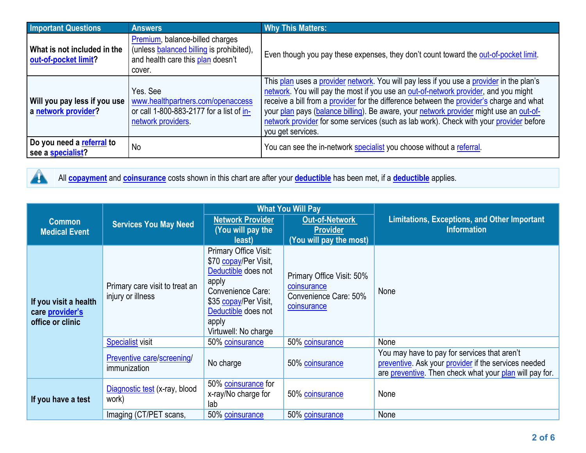| <b>Important Questions</b>                          | <b>Answers</b>                                                                                                             | <b>Why This Matters:</b>                                                                                                                                                                                                                                                                                                                                                                                                                                                             |
|-----------------------------------------------------|----------------------------------------------------------------------------------------------------------------------------|--------------------------------------------------------------------------------------------------------------------------------------------------------------------------------------------------------------------------------------------------------------------------------------------------------------------------------------------------------------------------------------------------------------------------------------------------------------------------------------|
| What is not included in the<br>out-of-pocket limit? | Premium, balance-billed charges<br>(unless balanced billing is prohibited),<br>and health care this plan doesn't<br>cover. | Even though you pay these expenses, they don't count toward the out-of-pocket limit.                                                                                                                                                                                                                                                                                                                                                                                                 |
| Will you pay less if you use<br>a network provider? | Yes, See<br>www.healthpartners.com/openaccess<br>or call 1-800-883-2177 for a list of in-<br>network providers.            | This plan uses a provider network. You will pay less if you use a provider in the plan's<br>network. You will pay the most if you use an out-of-network provider, and you might<br>receive a bill from a provider for the difference between the provider's charge and what<br>your plan pays (balance billing). Be aware, your network provider might use an out-of-<br>network provider for some services (such as lab work). Check with your provider before<br>you get services. |
| Do you need a referral to<br>see a specialist?      | <b>No</b>                                                                                                                  | You can see the in-network specialist you choose without a referral.                                                                                                                                                                                                                                                                                                                                                                                                                 |



All **[copayment](https://www.healthcare.gov/sbc-glossary/#copayment)** and **[coinsurance](https://www.healthcare.gov/sbc-glossary/#coinsurance)** costs shown in this chart are after your **[deductible](https://www.healthcare.gov/sbc-glossary/#deductible)** has been met, if <sup>a</sup> **[deductible](https://www.healthcare.gov/sbc-glossary/#deductible)** applies.

|                                                              | <b>Services You May Need</b>                        | <b>What You Will Pay</b>                                                                                                                                                             |                                                                                  |                                                                                                                                                                 |  |
|--------------------------------------------------------------|-----------------------------------------------------|--------------------------------------------------------------------------------------------------------------------------------------------------------------------------------------|----------------------------------------------------------------------------------|-----------------------------------------------------------------------------------------------------------------------------------------------------------------|--|
| <b>Common</b><br><b>Medical Event</b>                        |                                                     | <b>Network Provider</b><br>(You will pay the<br>least)                                                                                                                               | <b>Out-of-Network</b><br><b>Provider</b><br>(You will pay the most)              | <b>Limitations, Exceptions, and Other Important</b><br><b>Information</b>                                                                                       |  |
| If you visit a health<br>care provider's<br>office or clinic | Primary care visit to treat an<br>injury or illness | Primary Office Visit:<br>\$70 copay/Per Visit,<br>Deductible does not<br>apply<br>Convenience Care:<br>\$35 copay/Per Visit,<br>Deductible does not<br>apply<br>Virtuwell: No charge | Primary Office Visit: 50%<br>coinsurance<br>Convenience Care: 50%<br>coinsurance | None                                                                                                                                                            |  |
|                                                              | <b>Specialist visit</b>                             | 50% coinsurance                                                                                                                                                                      | 50% coinsurance                                                                  | None                                                                                                                                                            |  |
|                                                              | Preventive care/screening/<br>immunization          | No charge                                                                                                                                                                            | 50% coinsurance                                                                  | You may have to pay for services that aren't<br>preventive. Ask your provider if the services needed<br>are preventive. Then check what your plan will pay for. |  |
| If you have a test                                           | Diagnostic test (x-ray, blood<br>work)              | 50% coinsurance for<br>x-ray/No charge for<br>lab                                                                                                                                    | 50% coinsurance                                                                  | None                                                                                                                                                            |  |
|                                                              | Imaging (CT/PET scans,                              | 50% coinsurance                                                                                                                                                                      | 50% coinsurance                                                                  | None                                                                                                                                                            |  |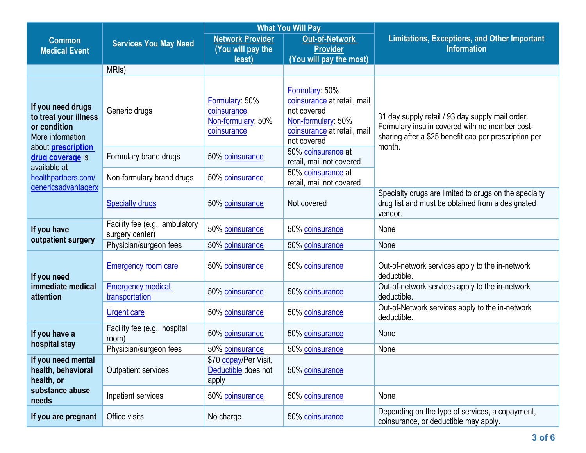|                                                                                | <b>What You Will Pay</b>                          |                                                                    |                                                                                                                                  |                                                                                                                                                                       |  |
|--------------------------------------------------------------------------------|---------------------------------------------------|--------------------------------------------------------------------|----------------------------------------------------------------------------------------------------------------------------------|-----------------------------------------------------------------------------------------------------------------------------------------------------------------------|--|
| <b>Common</b>                                                                  | <b>Services You May Need</b>                      | <b>Network Provider</b>                                            | <b>Out-of-Network</b>                                                                                                            | <b>Limitations, Exceptions, and Other Important</b>                                                                                                                   |  |
| <b>Medical Event</b>                                                           |                                                   | (You will pay the<br>least)                                        | <b>Provider</b><br>(You will pay the most)                                                                                       | <b>Information</b>                                                                                                                                                    |  |
|                                                                                | MRI <sub>s</sub> )                                |                                                                    |                                                                                                                                  |                                                                                                                                                                       |  |
|                                                                                |                                                   |                                                                    |                                                                                                                                  |                                                                                                                                                                       |  |
| If you need drugs<br>to treat your illness<br>or condition<br>More information | Generic drugs                                     | Formulary: 50%<br>coinsurance<br>Non-formulary: 50%<br>coinsurance | Formulary: 50%<br>coinsurance at retail, mail<br>not covered<br>Non-formulary: 50%<br>coinsurance at retail, mail<br>not covered | 31 day supply retail / 93 day supply mail order.<br>Formulary insulin covered with no member cost-<br>sharing after a \$25 benefit cap per prescription per<br>month. |  |
| about <b>prescription</b><br>drug coverage is<br>available at                  | Formulary brand drugs                             | 50% coinsurance                                                    | 50% coinsurance at<br>retail, mail not covered                                                                                   |                                                                                                                                                                       |  |
| healthpartners.com/<br>genericsadvantagerx                                     | Non-formulary brand drugs                         | 50% coinsurance                                                    | 50% coinsurance at<br>retail, mail not covered                                                                                   |                                                                                                                                                                       |  |
|                                                                                | <b>Specialty drugs</b>                            | 50% coinsurance                                                    | Not covered                                                                                                                      | Specialty drugs are limited to drugs on the specialty<br>drug list and must be obtained from a designated<br>vendor.                                                  |  |
| If you have                                                                    | Facility fee (e.g., ambulatory<br>surgery center) | 50% coinsurance                                                    | 50% coinsurance                                                                                                                  | None                                                                                                                                                                  |  |
| outpatient surgery                                                             | Physician/surgeon fees                            | 50% coinsurance                                                    | 50% coinsurance                                                                                                                  | None                                                                                                                                                                  |  |
| If you need<br>immediate medical<br>attention                                  | <b>Emergency room care</b>                        | 50% coinsurance                                                    | 50% coinsurance                                                                                                                  | Out-of-network services apply to the in-network<br>deductible.                                                                                                        |  |
|                                                                                | <b>Emergency medical</b><br>transportation        | 50% coinsurance                                                    | 50% coinsurance                                                                                                                  | Out-of-network services apply to the in-network<br>deductible.                                                                                                        |  |
|                                                                                | <b>Urgent care</b>                                | 50% coinsurance                                                    | 50% coinsurance                                                                                                                  | Out-of-Network services apply to the in-network<br>deductible.                                                                                                        |  |
| If you have a<br>hospital stay                                                 | Facility fee (e.g., hospital<br>room)             | 50% coinsurance                                                    | 50% coinsurance                                                                                                                  | None                                                                                                                                                                  |  |
|                                                                                | Physician/surgeon fees                            | 50% coinsurance                                                    | 50% coinsurance                                                                                                                  | None                                                                                                                                                                  |  |
| If you need mental<br>health, behavioral<br>health, or                         | <b>Outpatient services</b>                        | \$70 copay/Per Visit,<br>Deductible does not<br>apply              | 50% coinsurance                                                                                                                  |                                                                                                                                                                       |  |
| substance abuse<br>needs                                                       | Inpatient services                                | 50% coinsurance                                                    | 50% coinsurance                                                                                                                  | None                                                                                                                                                                  |  |
| If you are pregnant                                                            | Office visits                                     | No charge                                                          | 50% coinsurance                                                                                                                  | Depending on the type of services, a copayment,<br>coinsurance, or deductible may apply.                                                                              |  |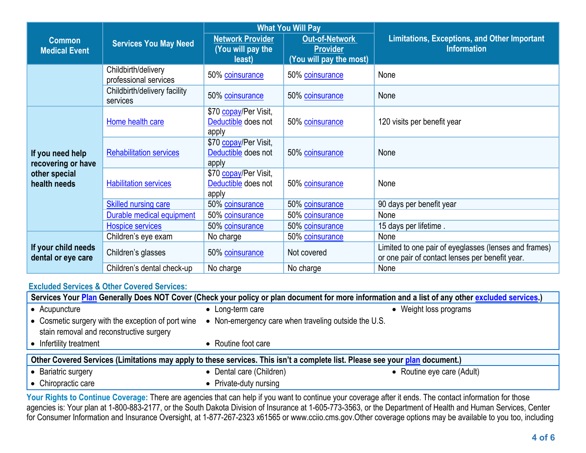|                                                                         | <b>Services You May Need</b>                 | <b>What You Will Pay</b>                              |                                                              |                                                                                                          |  |
|-------------------------------------------------------------------------|----------------------------------------------|-------------------------------------------------------|--------------------------------------------------------------|----------------------------------------------------------------------------------------------------------|--|
| <b>Common</b><br><b>Medical Event</b>                                   |                                              | <b>Network Provider</b><br>You will pay the<br>least) | Out-of-Network<br><b>Provider</b><br>(You will pay the most) | <b>Limitations, Exceptions, and Other Important</b><br><b>Information</b>                                |  |
|                                                                         | Childbirth/delivery<br>professional services | 50% coinsurance                                       | 50% coinsurance                                              | None                                                                                                     |  |
|                                                                         | Childbirth/delivery facility<br>services     | 50% coinsurance                                       | 50% coinsurance                                              | None                                                                                                     |  |
| If you need help<br>recovering or have<br>other special<br>health needs | Home health care                             | \$70 copay/Per Visit,<br>Deductible does not<br>apply | 50% coinsurance                                              | 120 visits per benefit year                                                                              |  |
|                                                                         | <b>Rehabilitation services</b>               | \$70 copay/Per Visit,<br>Deductible does not<br>apply | 50% coinsurance                                              | None                                                                                                     |  |
|                                                                         | <b>Habilitation services</b>                 | \$70 copay/Per Visit,<br>Deductible does not<br>apply | 50% coinsurance                                              | None                                                                                                     |  |
|                                                                         | <b>Skilled nursing care</b>                  | 50% coinsurance                                       | 50% coinsurance                                              | 90 days per benefit year                                                                                 |  |
|                                                                         | Durable medical equipment                    | 50% coinsurance                                       | 50% coinsurance                                              | None                                                                                                     |  |
|                                                                         | Hospice services                             | 50% coinsurance                                       | 50% coinsurance                                              | 15 days per lifetime.                                                                                    |  |
| If your child needs<br>dental or eye care                               | Children's eye exam                          | No charge                                             | 50% coinsurance                                              | None                                                                                                     |  |
|                                                                         | Children's glasses                           | 50% coinsurance                                       | Not covered                                                  | Limited to one pair of eyeglasses (lenses and frames)<br>or one pair of contact lenses per benefit year. |  |
|                                                                         | Children's dental check-up                   | No charge                                             | No charge                                                    | None                                                                                                     |  |

## **[Excluded](https://www.healthcare.gov/sbc-glossary/#excluded-services) Services & Other Covered Services:**

| Services Your Plan Generally Does NOT Cover (Check your policy or plan document for more information and a list of any other excluded services.) |                                                                                                         |                            |  |  |
|--------------------------------------------------------------------------------------------------------------------------------------------------|---------------------------------------------------------------------------------------------------------|----------------------------|--|--|
| • Acupuncture                                                                                                                                    | • Long-term care                                                                                        | • Weight loss programs     |  |  |
| stain removal and reconstructive surgery                                                                                                         | • Cosmetic surgery with the exception of port wine • Non-emergency care when traveling outside the U.S. |                            |  |  |
| • Infertility treatment                                                                                                                          | • Routine foot care                                                                                     |                            |  |  |
| Other Covered Services (Limitations may apply to these services. This isn't a complete list. Please see your plan document.)                     |                                                                                                         |                            |  |  |
| • Bariatric surgery                                                                                                                              | • Dental care (Children)                                                                                | • Routine eye care (Adult) |  |  |
| • Chiropractic care                                                                                                                              | • Private-duty nursing                                                                                  |                            |  |  |

Your Rights to Continue Coverage: There are agencies that can help if you want to continue your coverage after it ends. The contact information for those agencies is: Your plan at 1-800-883-2177, or the South Dakota Division of Insurance at 1-605-773-3563, or the Department of Health and Human Services, Center for Consumer Information and Insurance Oversight, at 1-877-267-2323 x61565 or www.cciio.cms.gov.Other coverage options may be available to you too, including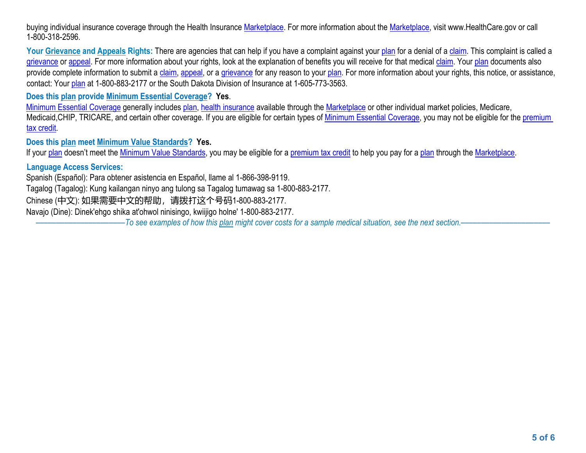buying individual insurance coverage through the Health Insurance [Marketplace](https://www.healthcare.gov/sbc-glossary/#marketplace). For more information about the Marketplace, visit www.HealthCare.gov or call 1-800-318-2596.

Your Grievance and [Appeals](https://www.healthcare.gov/sbc-glossary/#appeal) Rights: There are agencies that can help if you have a complaint against your [plan](https://www.healthcare.gov/sbc-glossary/#plan) for a denial of a [claim](https://www.healthcare.gov/sbc-glossary/#claim). This complaint is called a [grievance](https://www.healthcare.gov/sbc-glossary/#grievance) or [appeal](https://www.healthcare.gov/sbc-glossary/#appeal). For more information about your rights, look at the explanation of benefits you will receive for that medical [claim](https://www.healthcare.gov/sbc-glossary/#claim). Your [plan](https://www.healthcare.gov/sbc-glossary/#plan) documents also provide complete information to submit a [claim](https://www.healthcare.gov/sbc-glossary/#claim), [appeal](https://www.healthcare.gov/sbc-glossary/#appeal), or a [grievance](https://www.healthcare.gov/sbc-glossary/#grievance) for any reason to your [plan](https://www.healthcare.gov/sbc-glossary/#plan). For more information about your rights, this notice, or assistance, contact: Your [plan](https://www.healthcare.gov/sbc-glossary/#plan) at 1-800-883-2177 or the South Dakota Division of Insurance at 1-605-773-3563.

**Does this plan provide Minimum Essential Coverage? Yes**.

Minimum Essential [Coverage](https://www.healthcare.gov/sbc-glossary/#minimum-essential-coverage) generally includes [plan](https://www.healthcare.gov/sbc-glossary/#plan), health [insurance](https://www.healthcare.gov/sbc-glossary/#health-insurance) available through the [Marketplace](https://www.healthcare.gov/sbc-glossary/#marketplace) or other individual market policies, Medicare, Medicaid, CHIP, TRICARE, and certain other coverage. If you are eligible for certain types of Minimum Essential [Coverage](https://www.healthcare.gov/sbc-glossary/#minimum-essential-coverage), you may not be eligible for the [premium](https://www.healthcare.gov/sbc-glossary/#premium-tax-credits) tax [credit](https://www.healthcare.gov/sbc-glossary/#premium-tax-credits).

**Does this plan meet Minimum Value Standards? Yes.**

If your [plan](https://www.healthcare.gov/sbc-glossary/#plan) doesn't meet the Minimum Value [Standards](https://www.healthcare.gov/sbc-glossary/#minimum-value-standard), you may be eligible for a [premium](https://www.healthcare.gov/sbc-glossary/#premium-tax-credits) tax credit to help you pay for a plan through the [Marketplace](https://www.healthcare.gov/sbc-glossary/#marketplace).

## **Language Access Services:**

Spanish (Español): Para obtener asistencia en Español, llame al 1-866-398-9119.

Tagalog (Tagalog): Kung kailangan ninyo ang tulong sa Tagalog tumawag sa 1-800-883-2177.

Chinese (中文): 如果需要中文的帮助,请拨打这个号码1-800-883-2177.

Navajo (Dine): Dinek'ehgo shika at'ohwol ninisingo, kwiijigo holne' 1-800-883-2177.

-To see examples of how this [plan](https://www.healthcare.gov/sbc-glossary/#plan) might cover costs for a sample medical situation, see the next section.